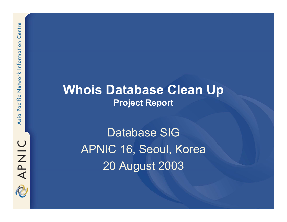**Whois Database Clean Up Project Report**

> Database SIGAPNIC 16, Seoul, Korea 20 August 2003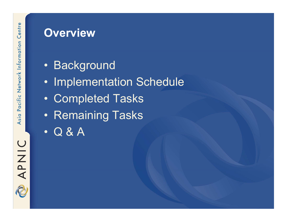#### **Overview**

- Background
- $\bullet$ Implementation Schedule
- $\bullet$ Completed Tasks
- Remaining Tasks
- $\bullet$ Q & A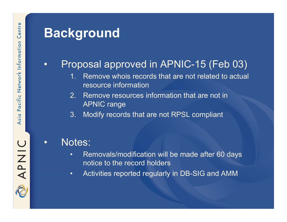## **Background**

#### •Proposal approved in APNIC-15 (Feb 03)

- 1. Remove whois records that are not related to actual resource information
- 2. Remove resources information that are not in APNIC range
- 3. Modify records that are not RPSL compliant

#### •Notes:

- • Removals/modification will be made after 60 days notice to the record holders
- •Activities reported regularly in DB-SIG and AMM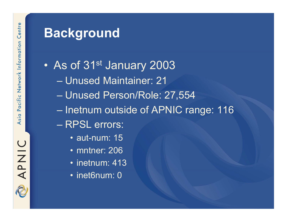# **Background**

- $\bullet$ As of 31<sup>st</sup> January 2003
	- Unused Maintainer: 21
	- Unused Person/Role: 27,554
	- Inetnum outside of APNIC range: 116
	- RPSL errors:
		- aut-num: 15
		- mntner: 206
		- inetnum: 413
		- inet6num: 0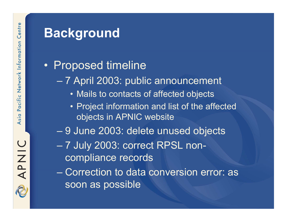## **Background**

### • Proposed timeline

- 7 April 2003: public announcement
	- Mails to contacts of affected objects
	- Project information and list of the affected objects in APNIC website
- 9 June 2003: delete unused objects
- 7 July 2003: correct RPSL noncompliance records

– Correction to data conversion error: as soon as possible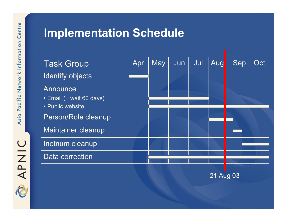**Implementation Schedule**

| <b>Task Group</b>                       | Apr | <b>May</b> | Jun | Jul | Aug | <b>Sep</b> | Oct |
|-----------------------------------------|-----|------------|-----|-----|-----|------------|-----|
| <b>Identify objects</b>                 |     |            |     |     |     |            |     |
| Announce<br>• Email (+ wait 60 days)    |     |            |     |     |     |            |     |
| • Public website<br>Person/Role cleanup |     |            |     |     |     |            |     |
| <b>Maintainer cleanup</b>               |     |            |     |     |     |            |     |
| <b>Inetnum cleanup</b>                  |     |            |     |     |     |            |     |
| Data correction                         |     |            |     |     |     |            |     |

21 Aug 03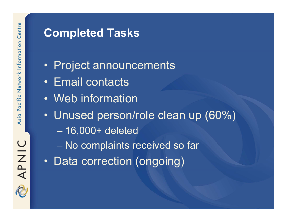#### **Completed Tasks**

- Project announcements
- Email contacts
- Web information
- $\bullet$  Unused person/role clean up (60%)
	- 16,000+ deleted
	- No complaints received so far
- $\bullet$ Data correction (ongoing)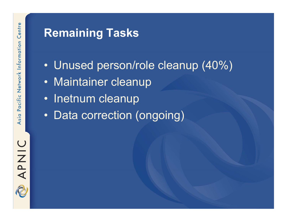### **Remaining Tasks**

- $\bullet$ Unused person/role cleanup (40%)
- Maintainer cleanup
- Inetnum cleanup
- $\bullet$ Data correction (ongoing)